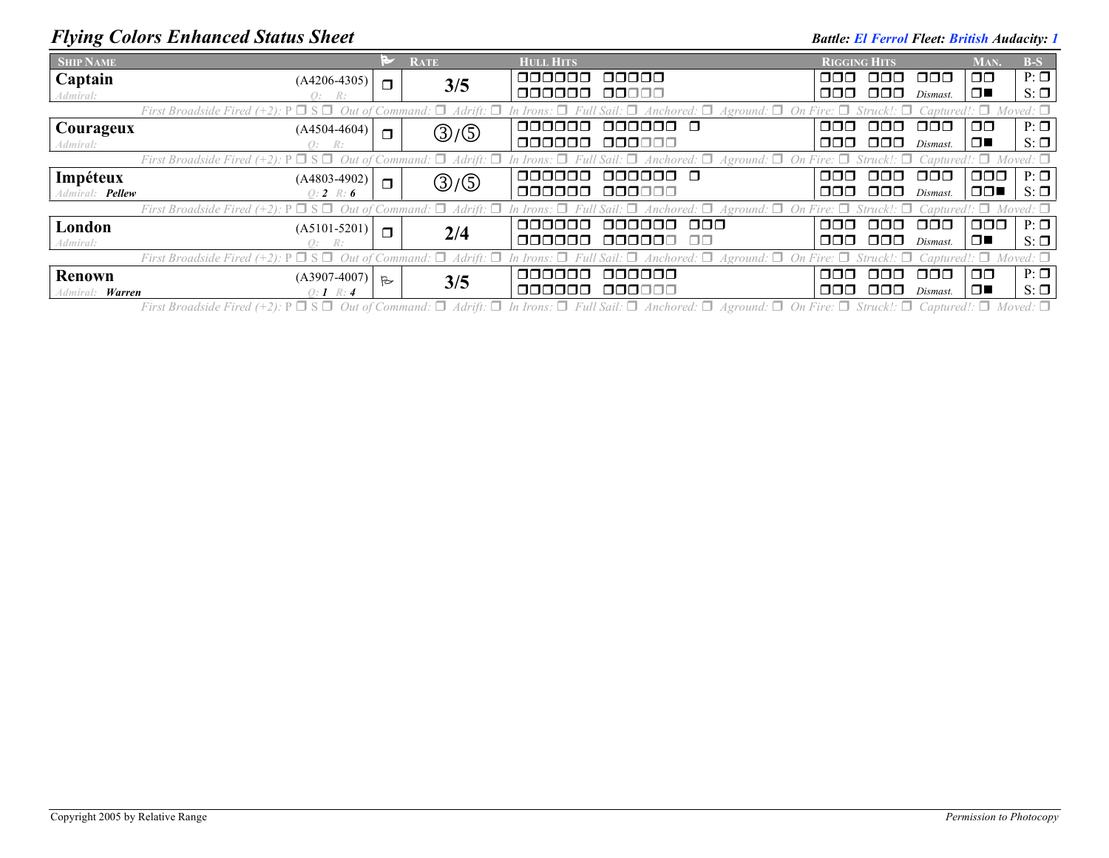## *Flying Colors Enhanced Status Sheet* **Battle:** *Battle: El Ferrol Fleet: British Audacity: 1*

| <b>SHIP NAME</b>                                                                                                                                                                                                      |                |              | <b>RATE</b> | <b>HULL HITS</b> |                      | <b>RIGGING HITS</b> |          |                      | MAN.          | $B-S$     |
|-----------------------------------------------------------------------------------------------------------------------------------------------------------------------------------------------------------------------|----------------|--------------|-------------|------------------|----------------------|---------------------|----------|----------------------|---------------|-----------|
| <b>Captain</b>                                                                                                                                                                                                        | $(A4206-4305)$ | $\Box$       | 3/5         | nnnnn            | 00000                | OOO.                | 000 L    | OOO                  | $\Box$        | $P: \Box$ |
| Admiral:                                                                                                                                                                                                              | Q: R:          |              |             | 000000           | 00000                | OOO.                | 000      | Dismast.             | $\Box$        | $S: \Box$ |
| First Broadside Fired (+2): $P \Box S \Box$ Out of Command: $\Box$ Adrift: $\Box$ In Irons: $\Box$ Full Sail: $\Box$ Anchored: $\Box$ Aground: $\Box$ On Fire: $\Box$ Struck!: $\Box$ Captured!: $\Box$ Moved: $\Box$ |                |              |             |                  |                      |                     |          |                      |               |           |
| <b>Courageux</b>                                                                                                                                                                                                      | $(A4504-4604)$ | $\Box$       | ③/⑤         | 000000           | aaaaaa a             | nnn.                | 000      | 000                  | $\Box$        | $P: \Box$ |
| Admiral:                                                                                                                                                                                                              | O: R:          |              |             | 000000           | 000000               | 888 B               | 88 88 88 | Dismast.             | $\Box$        | $S: \Box$ |
| First Broadside Fired (+2): $P \Box S \Box$ Out of Command: $\Box$ Adrift: $\Box$ In Irons: $\Box$ Full Sail: $\Box$ Anchored: $\Box$ Aground: $\Box$ On Fire: $\Box$ Struck!: $\Box$ Captured!: $\Box$ Moved: $\Box$ |                |              |             |                  |                      |                     |          |                      |               |           |
| Impéteux                                                                                                                                                                                                              | $(A4803-4902)$ | $\Box$       | ③/⑤         | 000000           | 000000 Q             | ooo k               | . OOO    | $\Box$ $\Box$ $\Box$ | $\Box$ $\Box$ | $P: \Box$ |
| Admiral: <b>Pellew</b>                                                                                                                                                                                                | $0: 2 \ R: 6$  |              |             | 000000           | 000000               |                     | 000 000  | Dismast.             | $\Box$        | $S: \Box$ |
| First Broadside Fired (+2): $P \Box S \Box$ Out of Command: $\Box$ Adrift: $\Box$ In Irons: $\Box$ Full Sail: $\Box$ Anchored: $\Box$ Aground: $\Box$ On Fire: $\Box$ Struck!: $\Box$ Captured!: $\Box$ Moved: $\Box$ |                |              |             |                  |                      |                     |          |                      |               |           |
| London                                                                                                                                                                                                                | $(A5101-5201)$ | $\Box$       | 2/4         | aaaaaa           | ooo<br><u>aaaaaa</u> | ooo k               | ooo      | ooo                  | 000.          | $P: \Box$ |
| Admiral:                                                                                                                                                                                                              | O: R:          |              |             | 000000           | 000000<br>00.        |                     | 000 000  | Dismast.             | $\Box$        | $S: \Box$ |
| First Broadside Fired (+2): $P \Box S \Box$ Out of Command: $\Box$ Adrift: $\Box$ In Irons: $\Box$ Full Sail: $\Box$ Anchored: $\Box$ Aground: $\Box$ On Fire: $\Box$ Struck!: $\Box$ Captured!: $\Box$ Moved: $\Box$ |                |              |             |                  |                      |                     |          |                      |               |           |
| <b>Renown</b>                                                                                                                                                                                                         | $(A3907-4007)$ | $\mathbb{R}$ | 3/5         | 000000           | 000000               | ooo.                | . OOO    | OOO                  | $\Box$        | $P: \Box$ |
| Warren<br>Admiral:                                                                                                                                                                                                    | $0:1 \; R:4$   |              |             | 000000           | 000000               | OOO.                | 000      | Dismast.             | □■            | $S: \Box$ |

First Broadside Fired (+2):  $P \Box S \Box$  Out of Command:  $\Box$  Adrift:  $\Box$  In Irons:  $\Box$  Full Sail:  $\Box$  Anchored:  $\Box$  Aground:  $\Box$  On Fire:  $\Box$  Struck!:  $\Box$  Captured!:  $\Box$  Moved:  $\Box$